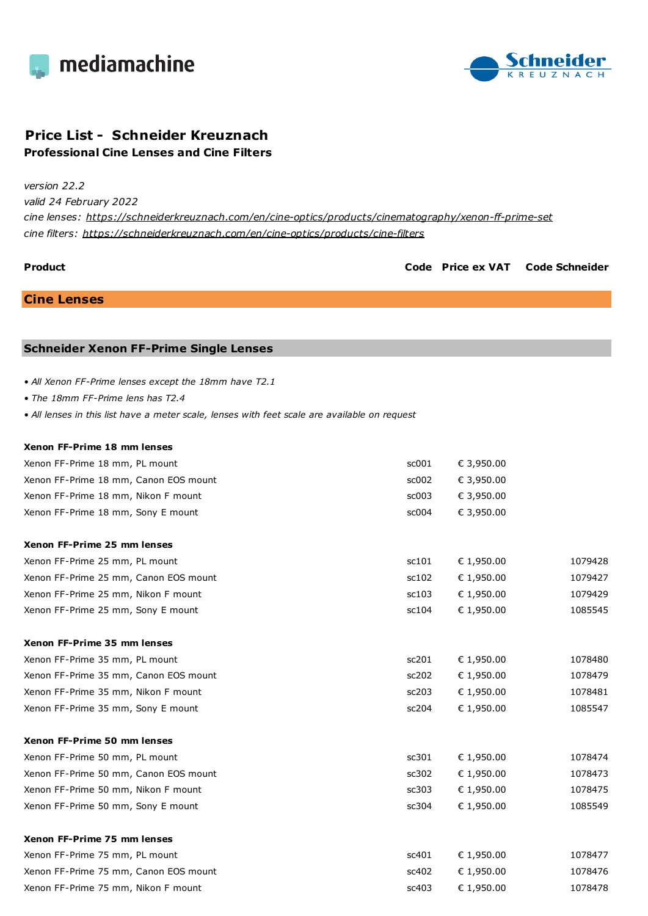



## **Price List - Schneider Kreuznach Professional Cine Lenses and Cine Filters**

*version 22.2*

*valid 24 February 2022*

*cine lenses: <https://schneiderkreuznach.com/en/cine-optics/products/cinematography/xenon-ff-prime-set> cine filters: <https://schneiderkreuznach.com/en/cine-optics/products/cine-filters>*

**Product Code Price ex VAT Code Schneider**

**Cine Lenses**

#### **Schneider Xenon FF-Prime Single Lenses**

*• All Xenon FF-Prime lenses except the 18mm have T2.1*

*• The 18mm FF-Prime lens has T2.4*

*• All lenses in this list have a meter scale, lenses with feet scale are available on request*

| Xenon FF-Prime 18 mm lenses           |       |            |         |
|---------------------------------------|-------|------------|---------|
| Xenon FF-Prime 18 mm, PL mount        | sc001 | € 3,950.00 |         |
| Xenon FF-Prime 18 mm, Canon EOS mount | sc002 | € 3,950.00 |         |
| Xenon FF-Prime 18 mm, Nikon F mount   | sc003 | € 3,950.00 |         |
| Xenon FF-Prime 18 mm, Sony E mount    | sc004 | € 3,950.00 |         |
| Xenon FF-Prime 25 mm lenses           |       |            |         |
| Xenon FF-Prime 25 mm, PL mount        | sc101 | € 1,950.00 | 1079428 |
| Xenon FF-Prime 25 mm, Canon EOS mount | sc102 | € 1,950.00 | 1079427 |
| Xenon FF-Prime 25 mm, Nikon F mount   | sc103 | € 1,950.00 | 1079429 |
| Xenon FF-Prime 25 mm, Sony E mount    | sc104 | € 1,950.00 | 1085545 |
| Xenon FF-Prime 35 mm lenses           |       |            |         |
| Xenon FF-Prime 35 mm, PL mount        | sc201 | € 1,950.00 | 1078480 |
| Xenon FF-Prime 35 mm, Canon EOS mount | sc202 | € 1,950.00 | 1078479 |
| Xenon FF-Prime 35 mm, Nikon F mount   | sc203 | € 1,950.00 | 1078481 |
| Xenon FF-Prime 35 mm, Sony E mount    | sc204 | € 1,950.00 | 1085547 |
| Xenon FF-Prime 50 mm lenses           |       |            |         |
| Xenon FF-Prime 50 mm, PL mount        | sc301 | € 1,950.00 | 1078474 |
| Xenon FF-Prime 50 mm, Canon EOS mount | sc302 | € 1,950.00 | 1078473 |
| Xenon FF-Prime 50 mm, Nikon F mount   | sc303 | € 1,950.00 | 1078475 |
| Xenon FF-Prime 50 mm, Sony E mount    | sc304 | € 1,950.00 | 1085549 |
| Xenon FF-Prime 75 mm lenses           |       |            |         |
| Xenon FF-Prime 75 mm, PL mount        | sc401 | € 1,950.00 | 1078477 |
| Xenon FF-Prime 75 mm, Canon EOS mount | sc402 | € 1,950.00 | 1078476 |
| Xenon FF-Prime 75 mm, Nikon F mount   | sc403 | € 1,950.00 | 1078478 |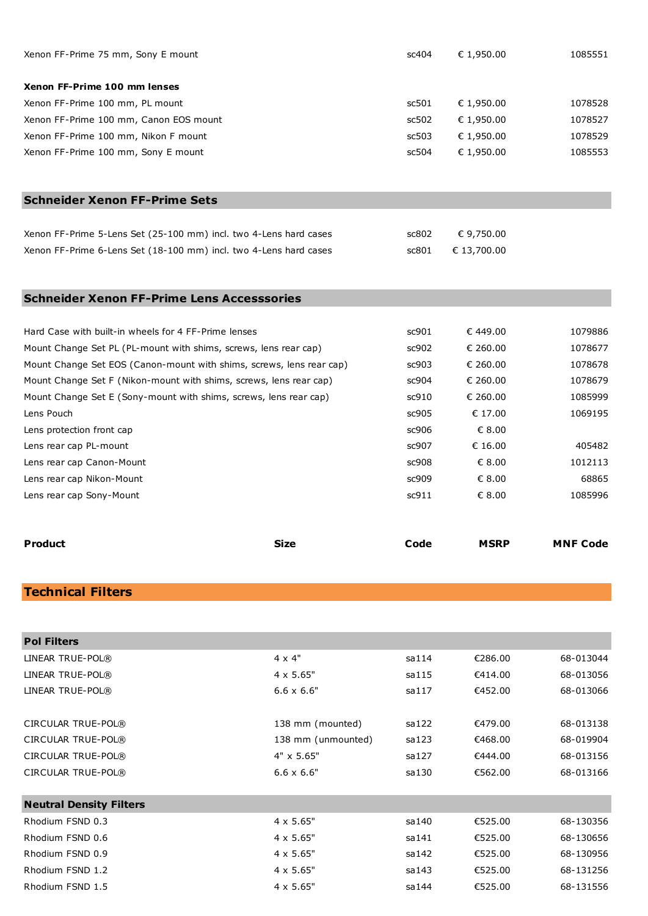| Xenon FF-Prime 75 mm, Sony E mount     | sc404 | € 1.950.00 | 1085551 |
|----------------------------------------|-------|------------|---------|
| Xenon FF-Prime 100 mm lenses           |       |            |         |
| Xenon FF-Prime 100 mm, PL mount        | sc501 | € 1.950.00 | 1078528 |
| Xenon FF-Prime 100 mm, Canon EOS mount | sc502 | € 1.950.00 | 1078527 |
| Xenon FF-Prime 100 mm, Nikon F mount   | sc503 | € 1.950.00 | 1078529 |
| Xenon FF-Prime 100 mm, Sony E mount    | sc504 | € 1.950.00 | 1085553 |

## **Schneider Xenon FF-Prime Sets**

| Xenon FF-Prime 5-Lens Set (25-100 mm) incl. two 4-Lens hard cases | sc802 | € 9.750.00        |
|-------------------------------------------------------------------|-------|-------------------|
| Xenon FF-Prime 6-Lens Set (18-100 mm) incl. two 4-Lens hard cases |       | sc801 € 13.700.00 |

## **Schneider Xenon FF-Prime Lens Accesssories**

| Hard Case with built-in wheels for 4 FF-Prime lenses                 | sc901 | € 449.00 | 1079886 |
|----------------------------------------------------------------------|-------|----------|---------|
| Mount Change Set PL (PL-mount with shims, screws, lens rear cap)     | sc902 | € 260.00 | 1078677 |
| Mount Change Set EOS (Canon-mount with shims, screws, lens rear cap) | sc903 | € 260.00 | 1078678 |
| Mount Change Set F (Nikon-mount with shims, screws, lens rear cap)   | sc904 | € 260.00 | 1078679 |
| Mount Change Set E (Sony-mount with shims, screws, lens rear cap)    | sc910 | € 260.00 | 1085999 |
| Lens Pouch                                                           | sc905 | € 17.00  | 1069195 |
| Lens protection front cap                                            | sc906 | € 8.00   |         |
| Lens rear cap PL-mount                                               | sc907 | € 16.00  | 405482  |
| Lens rear cap Canon-Mount                                            | sc908 | € 8.00   | 1012113 |
| Lens rear cap Nikon-Mount                                            | sc909 | € 8.00   | 68865   |
| Lens rear cap Sony-Mount                                             | sc911 | € 8.00   | 1085996 |
|                                                                      |       |          |         |

| <b>Product</b> | Size | Code | <b>MSRP</b> | <b>MNF Code</b> |
|----------------|------|------|-------------|-----------------|
|                |      |      |             |                 |

# **Technical Filters**

| <b>Pol Filters</b>             |                    |        |         |           |
|--------------------------------|--------------------|--------|---------|-----------|
| LINEAR TRUE-POL®               | $4 \times 4"$      | sa114  | €286.00 | 68-013044 |
| LINEAR TRUE-POL®               | $4 \times 5.65"$   | sa115  | €414.00 | 68-013056 |
| LINEAR TRUE-POL®               | $6.6 \times 6.6"$  | sa117  | €452.00 | 68-013066 |
|                                |                    |        |         |           |
| CIRCULAR TRUE-POL®             | 138 mm (mounted)   | sa122  | €479.00 | 68-013138 |
| CIRCULAR TRUE-POL®             | 138 mm (unmounted) | sa123  | €468.00 | 68-019904 |
| CIRCULAR TRUE-POL®             | 4" x 5.65"         | sa127  | €444.00 | 68-013156 |
| CIRCULAR TRUE-POL®             | $6.6 \times 6.6"$  | sa130  | €562.00 | 68-013166 |
|                                |                    |        |         |           |
| <b>Neutral Density Filters</b> |                    |        |         |           |
| Rhodium FSND 0.3               | $4 \times 5.65"$   | sa140  | €525.00 | 68-130356 |
| Rhodium FSND 0.6               | $4 \times 5.65"$   | sa 141 | €525.00 | 68-130656 |
| Rhodium FSND 0.9               | $4 \times 5.65"$   | sa142  | €525.00 | 68-130956 |
| Rhodium FSND 1.2               | $4 \times 5.65"$   | sa143  | €525.00 | 68-131256 |
| Rhodium FSND 1.5               | $4 \times 5.65"$   | sa144  | €525.00 | 68-131556 |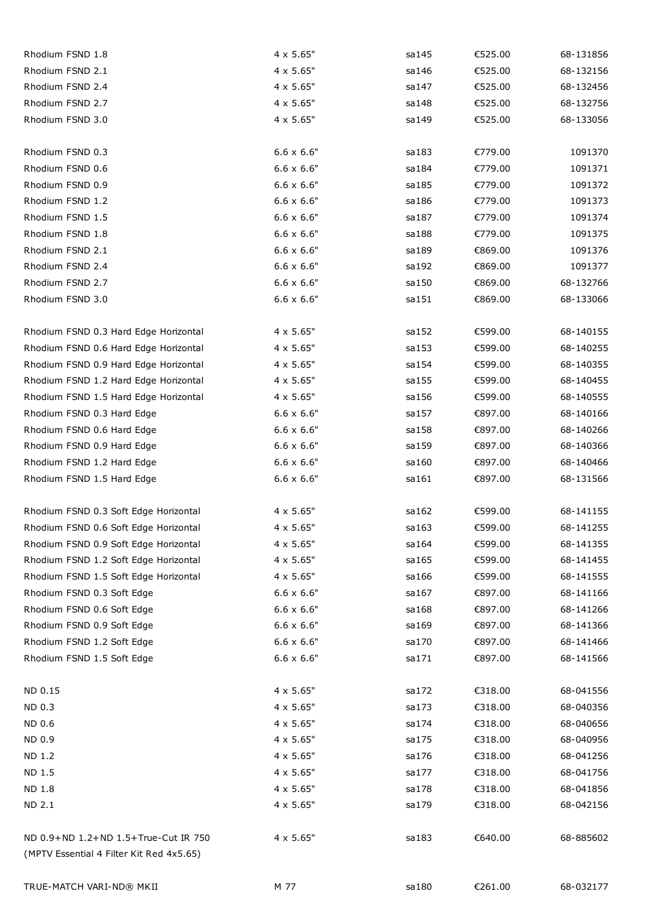| Rhodium FSND 1.8                                                                 | 4 x 5.65"         | sa145  | €525.00 | 68-131856 |
|----------------------------------------------------------------------------------|-------------------|--------|---------|-----------|
| Rhodium FSND 2.1                                                                 | 4 x 5.65"         | sa146  | €525.00 | 68-132156 |
| Rhodium FSND 2.4                                                                 | 4 x 5.65"         | sa147  | €525.00 | 68-132456 |
| Rhodium FSND 2.7                                                                 | $4 \times 5.65"$  | sa148  | €525.00 | 68-132756 |
| Rhodium FSND 3.0                                                                 | $4 \times 5.65"$  | sa 149 | €525.00 | 68-133056 |
| Rhodium FSND 0.3                                                                 | $6.6 \times 6.6"$ | sa183  | €779.00 | 1091370   |
| Rhodium FSND 0.6                                                                 | $6.6 \times 6.6"$ | sa184  | €779.00 | 1091371   |
| Rhodium FSND 0.9                                                                 | $6.6 \times 6.6"$ | sa 185 | €779.00 | 1091372   |
| Rhodium FSND 1.2                                                                 | $6.6 \times 6.6"$ | sa186  | €779.00 | 1091373   |
| Rhodium FSND 1.5                                                                 | $6.6 \times 6.6"$ | sa187  | €779.00 | 1091374   |
| Rhodium FSND 1.8                                                                 | $6.6 \times 6.6"$ | sa188  | €779.00 | 1091375   |
| Rhodium FSND 2.1                                                                 | $6.6 \times 6.6"$ | sa189  | €869.00 | 1091376   |
| Rhodium FSND 2.4                                                                 | $6.6 \times 6.6"$ | sa192  | €869.00 | 1091377   |
| Rhodium FSND 2.7                                                                 | $6.6 \times 6.6"$ | sa150  | €869.00 | 68-132766 |
| Rhodium FSND 3.0                                                                 | $6.6 \times 6.6"$ | sa151  | €869.00 | 68-133066 |
| Rhodium FSND 0.3 Hard Edge Horizontal                                            | 4 x 5.65"         | sa152  | €599.00 | 68-140155 |
| Rhodium FSND 0.6 Hard Edge Horizontal                                            | $4 \times 5.65"$  | sa 153 | €599.00 | 68-140255 |
| Rhodium FSND 0.9 Hard Edge Horizontal                                            | 4 x 5.65"         | sa154  | €599.00 | 68-140355 |
| Rhodium FSND 1.2 Hard Edge Horizontal                                            | $4 \times 5.65"$  | sa 155 | €599.00 | 68-140455 |
| Rhodium FSND 1.5 Hard Edge Horizontal                                            | 4 x 5.65"         | sa156  | €599.00 | 68-140555 |
| Rhodium FSND 0.3 Hard Edge                                                       | $6.6 \times 6.6"$ | sa157  | €897.00 | 68-140166 |
| Rhodium FSND 0.6 Hard Edge                                                       | $6.6 \times 6.6"$ | sa158  | €897.00 | 68-140266 |
| Rhodium FSND 0.9 Hard Edge                                                       | $6.6 \times 6.6"$ | sa159  | €897.00 | 68-140366 |
| Rhodium FSND 1.2 Hard Edge                                                       | $6.6 \times 6.6"$ | sa160  | €897.00 | 68-140466 |
| Rhodium FSND 1.5 Hard Edge                                                       | $6.6 \times 6.6"$ | sa161  | €897.00 | 68-131566 |
| Rhodium FSND 0.3 Soft Edge Horizontal                                            | $4 \times 5.65"$  | sa162  | €599.00 | 68-141155 |
| Rhodium FSND 0.6 Soft Edge Horizontal                                            | $4 \times 5.65"$  | sa163  | €599.00 | 68-141255 |
| Rhodium FSND 0.9 Soft Edge Horizontal                                            | $4 \times 5.65"$  | sa 164 | €599.00 | 68-141355 |
| Rhodium FSND 1.2 Soft Edge Horizontal                                            | 4 x 5.65"         | sa165  | €599.00 | 68-141455 |
| Rhodium FSND 1.5 Soft Edge Horizontal                                            | $4 \times 5.65"$  | sa166  | €599.00 | 68-141555 |
| Rhodium FSND 0.3 Soft Edge                                                       | $6.6 \times 6.6"$ | sa167  | €897.00 | 68-141166 |
| Rhodium FSND 0.6 Soft Edge                                                       | $6.6 \times 6.6"$ | sa168  | €897.00 | 68-141266 |
| Rhodium FSND 0.9 Soft Edge                                                       | $6.6 \times 6.6"$ | sa169  | €897.00 | 68-141366 |
| Rhodium FSND 1.2 Soft Edge                                                       | $6.6 \times 6.6"$ | sa170  | €897.00 | 68-141466 |
| Rhodium FSND 1.5 Soft Edge                                                       | $6.6 \times 6.6"$ | sa171  | €897.00 | 68-141566 |
| ND 0.15                                                                          | $4 \times 5.65"$  | sa172  | €318.00 | 68-041556 |
| ND 0.3                                                                           | $4 \times 5.65"$  | sa173  | €318.00 | 68-040356 |
| ND 0.6                                                                           | $4 \times 5.65"$  | sa174  | €318.00 | 68-040656 |
| ND 0.9                                                                           | 4 x 5.65"         | sa175  | €318.00 | 68-040956 |
| <b>ND 1.2</b>                                                                    | $4 \times 5.65"$  | sa176  | €318.00 | 68-041256 |
| ND 1.5                                                                           | 4 x 5.65"         | sa177  | €318.00 | 68-041756 |
| ND 1.8                                                                           | 4 x 5.65"         | sa178  | €318.00 | 68-041856 |
| ND 2.1                                                                           | 4 x 5.65"         | sa179  | €318.00 | 68-042156 |
| ND 0.9+ND 1.2+ND 1.5+True-Cut IR 750<br>(MPTV Essential 4 Filter Kit Red 4x5.65) | $4 \times 5.65"$  | sa183  | €640.00 | 68-885602 |
|                                                                                  |                   |        |         |           |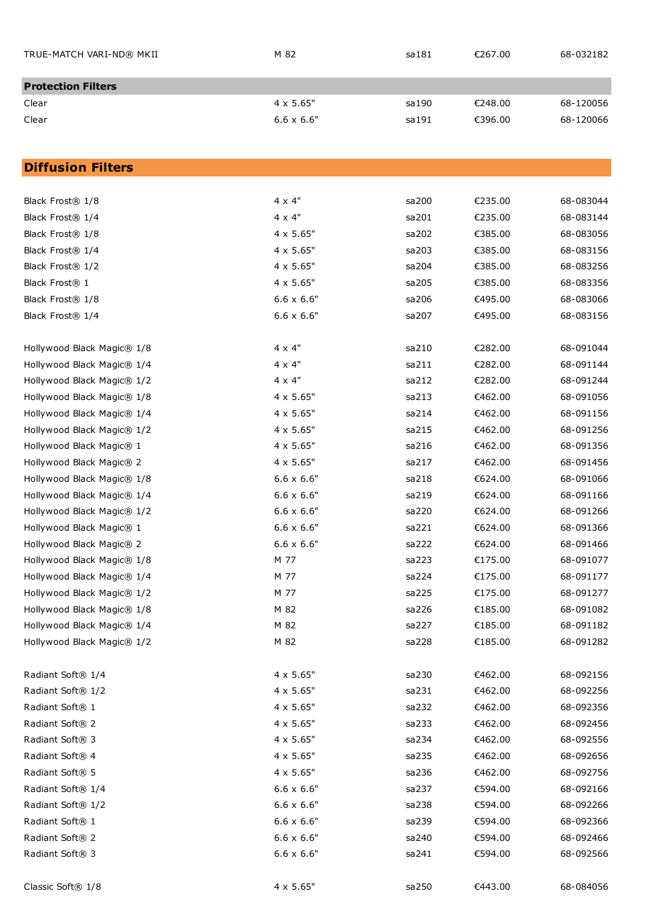| TRUE-MATCH VARI-ND® MKII  | M 82              | sa181  | €267.00 | 68-032182 |
|---------------------------|-------------------|--------|---------|-----------|
| <b>Protection Filters</b> |                   |        |         |           |
| Clear                     | $4 \times 5.65"$  | sa 190 | €248.00 | 68-120056 |
| Clear                     | $6.6 \times 6.6"$ | sa 191 | €396.00 | 68-120066 |

# **Diffusion Filters**

| Black Frost® 1/8              | 4 x 4"            | sa200 | €235.00 | 68-083044 |
|-------------------------------|-------------------|-------|---------|-----------|
| Black Frost® 1/4              | $4 \times 4"$     | sa201 | €235.00 | 68-083144 |
| Black Frost® 1/8              | $4 \times 5.65"$  | sa202 | €385.00 | 68-083056 |
| Black Frost® 1/4              | $4 \times 5.65"$  | sa203 | €385.00 | 68-083156 |
| Black Frost® 1/2              | $4 \times 5.65"$  | sa204 | €385.00 | 68-083256 |
| Black Frost® 1                | $4 \times 5.65"$  | sa205 | €385.00 | 68-083356 |
| Black Frost® 1/8              | $6.6 \times 6.6"$ | sa206 | €495.00 | 68-083066 |
| Black Frost® 1/4              | $6.6 \times 6.6"$ | sa207 | €495.00 | 68-083156 |
| Hollywood Black Magic® 1/8    | $4 \times 4"$     | sa210 | €282.00 | 68-091044 |
| Hollywood Black Magic® 1/4    | 4 x 4"            | sa211 | €282.00 | 68-091144 |
| Hollywood Black Magic® 1/2    | $4 \times 4"$     | sa212 | €282.00 | 68-091244 |
| Hollywood Black Magic® 1/8    | $4 \times 5.65"$  | sa213 | €462.00 | 68-091056 |
| Hollywood Black Magic® 1/4    | $4 \times 5.65"$  | sa214 | €462.00 | 68-091156 |
| Hollywood Black Magic® 1/2    | $4 \times 5.65"$  | sa215 | €462.00 | 68-091256 |
| Hollywood Black Magic® 1      | $4 \times 5.65"$  | sa216 | €462.00 | 68-091356 |
| Hollywood Black Magic® 2      | $4 \times 5.65"$  | sa217 | €462.00 | 68-091456 |
| Hollywood Black Magic® 1/8    | $6.6 \times 6.6"$ | sa218 | €624.00 | 68-091066 |
| Hollywood Black Magic® 1/4    | $6.6 \times 6.6"$ | sa219 | €624.00 | 68-091166 |
| Hollywood Black Magic® 1/2    | $6.6 \times 6.6"$ | sa220 | €624.00 | 68-091266 |
| Hollywood Black Magic® 1      | $6.6 \times 6.6"$ | sa221 | €624.00 | 68-091366 |
| Hollywood Black Magic® 2      | $6.6 \times 6.6"$ | sa222 | €624.00 | 68-091466 |
| Hollywood Black Magic® 1/8    | M 77              | sa223 | €175.00 | 68-091077 |
| Hollywood Black Magic® 1/4    | M 77              | sa224 | €175.00 | 68-091177 |
| Hollywood Black Magic® 1/2    | M 77              | sa225 | €175.00 | 68-091277 |
| Hollywood Black Magic® 1/8    | M 82              | sa226 | €185.00 | 68-091082 |
| Hollywood Black Magic® 1/4    | M 82              | sa227 | €185.00 | 68-091182 |
| Hollywood Black Magic® 1/2    | M 82              | sa228 | €185.00 | 68-091282 |
| Radiant Soft® 1/4             | 4 x 5.65"         | sa230 | €462.00 | 68-092156 |
| Radiant Soft <sup>®</sup> 1/2 | $4 \times 5.65"$  | sa231 | €462.00 | 68-092256 |
| Radiant Soft® 1               | $4 \times 5.65"$  | sa232 | €462.00 | 68-092356 |
| Radiant Soft® 2               | $4 \times 5.65"$  | sa233 | €462.00 | 68-092456 |
| Radiant Soft <sup>®</sup> 3   | $4 \times 5.65"$  | sa234 | €462.00 | 68-092556 |
| Radiant Soft® 4               | $4 \times 5.65"$  | sa235 | €462.00 | 68-092656 |
| Radiant Soft® 5               | $4 \times 5.65"$  | sa236 | €462.00 | 68-092756 |
| Radiant Soft® 1/4             | $6.6 \times 6.6"$ | sa237 | €594.00 | 68-092166 |
| Radiant Soft® 1/2             | $6.6 \times 6.6"$ | sa238 | €594.00 | 68-092266 |
| Radiant Soft <sup>®</sup> 1   | $6.6 \times 6.6"$ | sa239 | €594.00 | 68-092366 |
| Radiant Soft <sup>®</sup> 2   | $6.6 \times 6.6"$ | sa240 | €594.00 | 68-092466 |
| Radiant Soft <sup>®</sup> 3   | $6.6 \times 6.6"$ | sa241 | €594.00 | 68-092566 |
| Classic Soft® 1/8             | $4 \times 5.65"$  | sa250 | €443.00 | 68-084056 |
|                               |                   |       |         |           |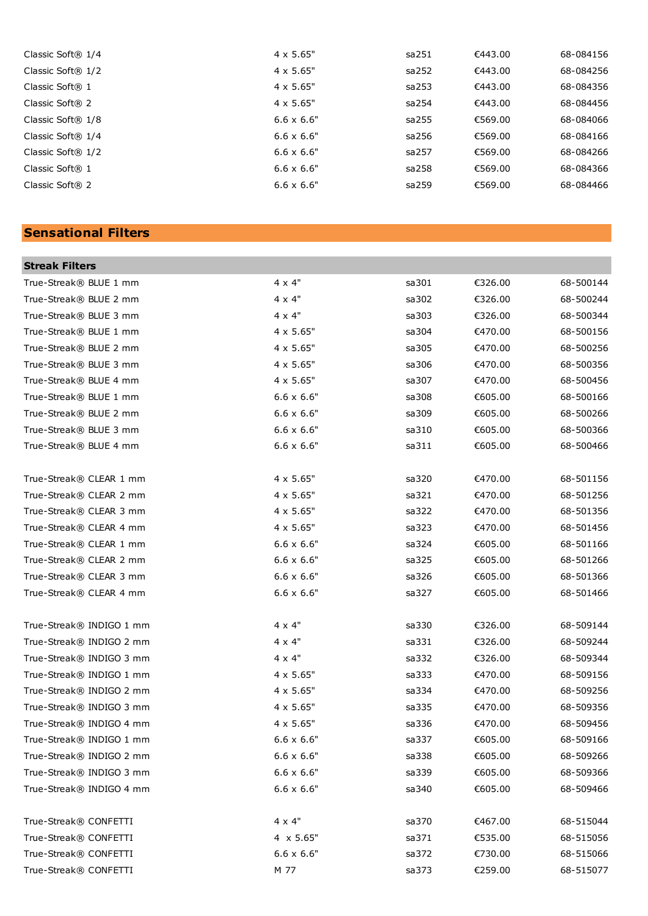| Classic Soft® 1/4            | $4 \times 5.65"$  | sa251 | €443.00 | 68-084156 |
|------------------------------|-------------------|-------|---------|-----------|
| Classic Soft® 1/2            | $4 \times 5.65"$  | sa252 | €443.00 | 68-084256 |
| Classic Soft® 1              | $4 \times 5.65"$  | sa253 | €443.00 | 68-084356 |
| Classic Soft® 2              | $4 \times 5.65"$  | sa254 | €443.00 | 68-084456 |
| Classic Soft® 1/8            | $6.6 \times 6.6"$ | sa255 | €569.00 | 68-084066 |
| Classic Soft® 1/4            | $6.6 \times 6.6"$ | sa256 | €569.00 | 68-084166 |
| Classic Soft $\mathbb R$ 1/2 | $6.6 \times 6.6"$ | sa257 | €569.00 | 68-084266 |
| Classic Soft® 1              | $6.6 \times 6.6"$ | sa258 | €569.00 | 68-084366 |
| Classic Soft® 2              | $6.6 \times 6.6"$ | sa259 | €569.00 | 68-084466 |
|                              |                   |       |         |           |

# **Sensational Filters**

×

| <b>Streak Filters</b>    |                   |       |         |           |
|--------------------------|-------------------|-------|---------|-----------|
| True-Streak® BLUE 1 mm   | 4 x 4"            | sa301 | €326.00 | 68-500144 |
| True-Streak® BLUE 2 mm   | $4 \times 4"$     | sa302 | €326.00 | 68-500244 |
| True-Streak® BLUE 3 mm   | 4 x 4"            | sa303 | €326.00 | 68-500344 |
| True-Streak® BLUE 1 mm   | $4 \times 5.65"$  | sa304 | €470.00 | 68-500156 |
| True-Streak® BLUE 2 mm   | $4 \times 5.65"$  | sa305 | €470.00 | 68-500256 |
| True-Streak® BLUE 3 mm   | $4 \times 5.65"$  | sa306 | €470.00 | 68-500356 |
| True-Streak® BLUE 4 mm   | $4 \times 5.65"$  | sa307 | €470.00 | 68-500456 |
| True-Streak® BLUE 1 mm   | $6.6 \times 6.6"$ | sa308 | €605.00 | 68-500166 |
| True-Streak® BLUE 2 mm   | $6.6 \times 6.6"$ | sa309 | €605.00 | 68-500266 |
| True-Streak® BLUE 3 mm   | $6.6 \times 6.6"$ | sa310 | €605.00 | 68-500366 |
| True-Streak® BLUE 4 mm   | $6.6 \times 6.6"$ | sa311 | €605.00 | 68-500466 |
| True-Streak® CLEAR 1 mm  | $4 \times 5.65"$  | sa320 | €470.00 | 68-501156 |
| True-Streak® CLEAR 2 mm  | $4 \times 5.65"$  | sa321 | €470.00 | 68-501256 |
| True-Streak® CLEAR 3 mm  | $4 \times 5.65"$  | sa322 | €470.00 | 68-501356 |
| True-Streak® CLEAR 4 mm  | $4 \times 5.65"$  | sa323 | €470.00 | 68-501456 |
| True-Streak® CLEAR 1 mm  | $6.6 \times 6.6"$ | sa324 | €605.00 | 68-501166 |
| True-Streak® CLEAR 2 mm  | $6.6 \times 6.6"$ | sa325 | €605.00 | 68-501266 |
| True-Streak® CLEAR 3 mm  | $6.6 \times 6.6"$ | sa326 | €605.00 | 68-501366 |
| True-Streak® CLEAR 4 mm  | $6.6 \times 6.6"$ | sa327 | €605.00 | 68-501466 |
| True-Streak® INDIGO 1 mm | 4 x 4"            | sa330 | €326.00 | 68-509144 |
| True-Streak® INDIGO 2 mm | $4 \times 4"$     | sa331 | €326.00 | 68-509244 |
| True-Streak® INDIGO 3 mm | $4 \times 4"$     | sa332 | €326.00 | 68-509344 |
| True-Streak® INDIGO 1 mm | $4 \times 5.65"$  | sa333 | €470.00 | 68-509156 |
| True-Streak® INDIGO 2 mm | $4 \times 5.65"$  | sa334 | €470.00 | 68-509256 |
| True-Streak® INDIGO 3 mm | $4 \times 5.65"$  | sa335 | €470.00 | 68-509356 |
| True-Streak® INDIGO 4 mm | $4 \times 5.65"$  | sa336 | €470.00 | 68-509456 |
| True-Streak® INDIGO 1 mm | $6.6 \times 6.6"$ | sa337 | €605.00 | 68-509166 |
| True-Streak® INDIGO 2 mm | $6.6 \times 6.6"$ | sa338 | €605.00 | 68-509266 |
| True-Streak® INDIGO 3 mm | $6.6 \times 6.6"$ | sa339 | €605.00 | 68-509366 |
| True-Streak® INDIGO 4 mm | $6.6 \times 6.6"$ | sa340 | €605.00 | 68-509466 |
| True-Streak® CONFETTI    | 4 x 4"            | sa370 | €467.00 | 68-515044 |
| True-Streak® CONFETTI    | 4 x 5.65"         | sa371 | €535.00 | 68-515056 |
| True-Streak® CONFETTI    | $6.6 \times 6.6"$ | sa372 | €730.00 | 68-515066 |
| True-Streak® CONFETTI    | M 77              | sa373 | €259.00 | 68-515077 |